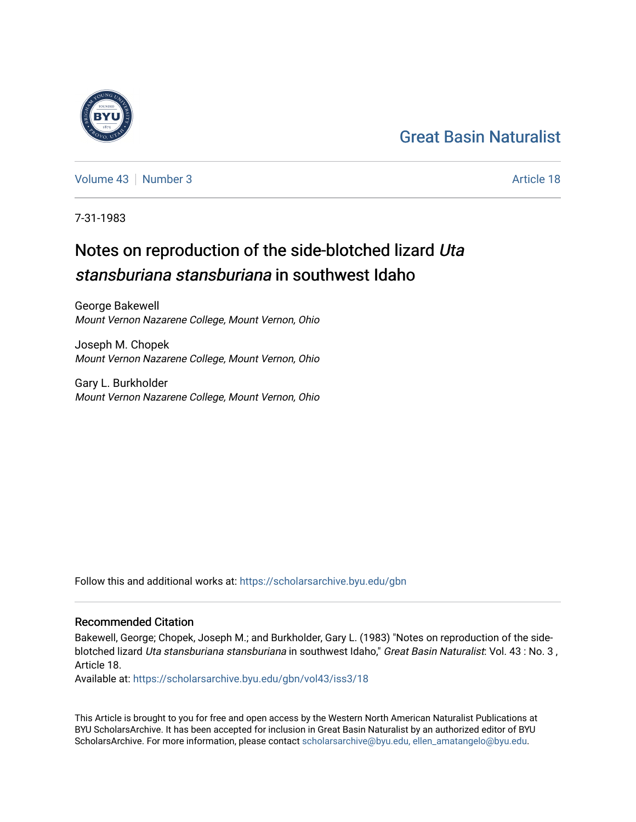## [Great Basin Naturalist](https://scholarsarchive.byu.edu/gbn)

[Volume 43](https://scholarsarchive.byu.edu/gbn/vol43) [Number 3](https://scholarsarchive.byu.edu/gbn/vol43/iss3) Article 18

7-31-1983

# Notes on reproduction of the side-blotched lizard Uta stansburiana stansburiana in southwest Idaho

George Bakewell Mount Vernon Nazarene College, Mount Vernon, Ohio

Joseph M. Chopek Mount Vernon Nazarene College, Mount Vernon, Ohio

Gary L. Burkholder Mount Vernon Nazarene College, Mount Vernon, Ohio

Follow this and additional works at: [https://scholarsarchive.byu.edu/gbn](https://scholarsarchive.byu.edu/gbn?utm_source=scholarsarchive.byu.edu%2Fgbn%2Fvol43%2Fiss3%2F18&utm_medium=PDF&utm_campaign=PDFCoverPages) 

### Recommended Citation

Bakewell, George; Chopek, Joseph M.; and Burkholder, Gary L. (1983) "Notes on reproduction of the sideblotched lizard Uta stansburiana stansburiana in southwest Idaho," Great Basin Naturalist: Vol. 43 : No. 3, Article 18.

Available at: [https://scholarsarchive.byu.edu/gbn/vol43/iss3/18](https://scholarsarchive.byu.edu/gbn/vol43/iss3/18?utm_source=scholarsarchive.byu.edu%2Fgbn%2Fvol43%2Fiss3%2F18&utm_medium=PDF&utm_campaign=PDFCoverPages) 

This Article is brought to you for free and open access by the Western North American Naturalist Publications at BYU ScholarsArchive. It has been accepted for inclusion in Great Basin Naturalist by an authorized editor of BYU ScholarsArchive. For more information, please contact [scholarsarchive@byu.edu, ellen\\_amatangelo@byu.edu.](mailto:scholarsarchive@byu.edu,%20ellen_amatangelo@byu.edu)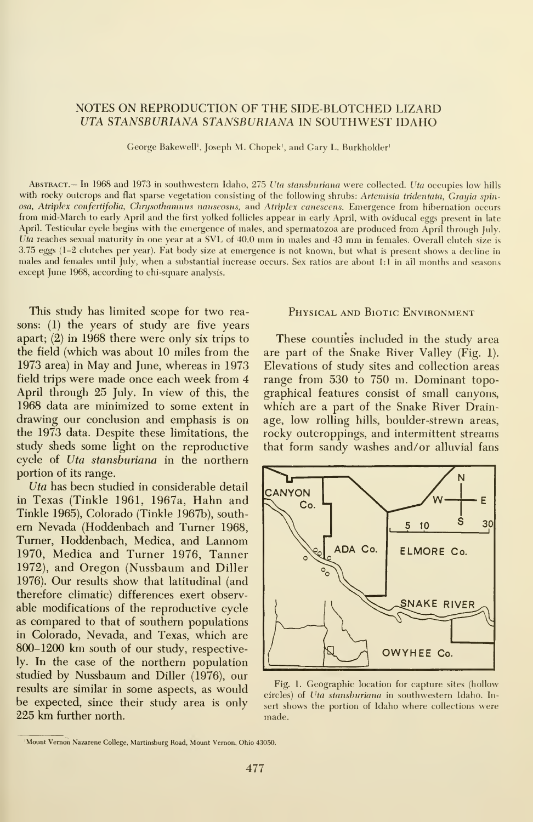#### NOTES ON REPRODUCTION OF THE SIDE-BLOTCHED LIZARD UTA STANSBURIANA STANSBURIANA IN SOUTHWEST IDAHO

George Bakewell', Joseph M. Chopek', and Gary L. Burkholder'

ABSTRACT.— In 1968 and 1973 in southwestern Idaho, 275 Uta stansburiana were collected. Uta occupies low hills with rocky outcrops and flat sparse vegetation consisting of the following shrubs: Artemisia tridentata, Grayia spinosa, Atriplex confertifolia, Chrysothamnus nauseosus, and Atriplex canescens. Emergence from hibernation occurs from mid-March to early April and the first yolked follicles appear in early April, with oviducal eggs present in late April. Testicular cycle begins with the emergence of males, and spermatozoa are produced from April through July. Uta reaches sexual maturity in one year at <sup>a</sup> SVL of 40.0 mm in males and <sup>43</sup> mm in females. Overall clutch size is 3.75 eggs (1-2 clutches per year). Fat body size at emergence is not known, but what is present shows a decline in males and females until July, when a substantial increase occurs. Sex ratios are about  $1:1$  in all months and seasons except June 1968, according to chi-square analysis.

This study has limited scope for two reasons: (1) the years of study are five years apart; (2) in 1968 there were only six trips to the field (which was about 10 miles from the 1973 area) in May and June, whereas in 1973 field trips were made once each week from 4 April through 25 July. In view of this, the 1968 data are minimized to some extent in drawing our conclusion and emphasis is on the 1973 data. Despite these limitations, the study sheds some light on the reproductive cycle of Uta stanshuriana in the northern portion of its range.

Uta has been studied in considerable detail  $\begin{bmatrix} 1 & 1 \\ C \end{bmatrix}$ in Texas (Tinkle 1961, 1967a, Hahn and Tinkle 1965), Colorado (Tinkle 1967b), south em Nevada (Hoddenbach and Turner 1968, Turner, Hoddenbach, Medica, and Lannom 1970, Medica and Turner 1976, Tanner 1972), and Oregon (Nussbaum and Diller 1976). Our results show that latitudinal (and therefore climatic) differences exert observable modifications of the reproductive cycle as compared to that of southern populations in Colorado, Nevada, and Texas, which are 800-1200 km south of our study, respectively. In the case of the northern population studied by Nussbaum and Diller (1976), our results are similar in some aspects, as would be expected, since their study area is only 225 km further north.

#### Physical and Biotic Environment

These counties included in the study area are part of the Snake River Valley (Fig. 1). Elevations of study sites and collection areas range from 530 to 750 m. Dominant topographical features consist of small canyons, which are a part of the Snake River Drainage, low rolling hills, boulder-strewn areas, rocky outcroppings, and intermittent streams that form sandy washes and/or alluvial fans



Fig. 1. Geographic location for capture sites (hollow circles) of Uta stansburiana in southwestern Idaho. Insert shows the portion of Idaho where collections were made.

<sup>&#</sup>x27;Mount Vemon Nazarene College, Martinsburg Road, Mount Vemon, Ohio 43050.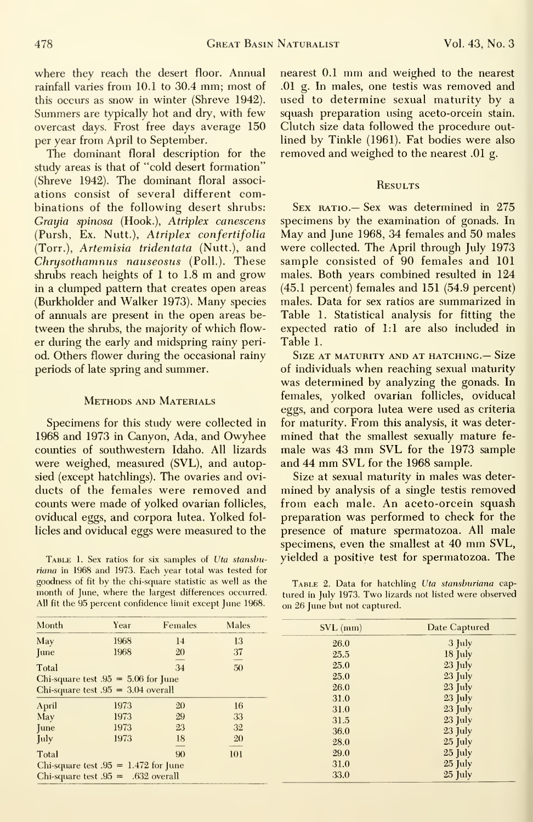where they reach the desert floor. Annual rainfall varies from 10.1 to 30.4 mm; most of this occurs as snow in winter (Shreve 1942). Summers are typically hot and dry, with few overcast days. Frost free days average 150 per year from April to September.

The dominant floral description for the study areas is that of "cold desert formation" (Shreve 1942). The dominant floral associ ations consist of several different combinations of the following desert shrubs: Grayia spinosa (Hook.), Atriplex canescens (Pursh, Ex. Nutt.), Atriplex confertifolia (Torr.), Artemisia tridentata (Nutt.), and Chrysothamnus nauseosus (Poll.). These shrubs reach heights of <sup>1</sup> to 1.8 m and grow in a clumped pattern that creates open areas (Burkholder and Walker 1973). Many species of annuals are present in the open areas between the shrubs, the majority of which flower during the early and midspring rainy period. Others flower during the occasional rainy periods of late spring and summer.

#### Methods and Materials

Specimens for this study were collected in 1968 and 1973 in Canyon, Ada, and Owyhee counties of southwestern Idaho. All lizards were weighed, measured (SVL), and autopsied (except hatchlings). The ovaries and ovi ducts of the females were removed and counts were made of yolked ovarian follicles, oviducal eggs, and corpora lutea. Yolked fol licles and oviducal eggs were measured to the

TABLE 1. Sex ratios for six samples of Uta stansburiana in 1968 and 1973. Each year total was tested for goodness of fit by the chi-square statistic as well as the month of June, where the largest differences occurred. All fit the 95 percent confidence limit except June 1968.

nearest 0.1 mm and weighed to the nearest .01 g. In males, one testis was removed and used to determine sexual maturity by a squash preparation using aceto-orcein stain. Clutch size data followed the procedure out lined by Tinkle (1961). Fat bodies were also removed and weighed to the nearest .01 g.

#### **Results**

 $S_{EX}$  RATIO.— Sex was determined in 275 specimens by the examination of gonads. In May and June 1968, 34 females and 50 males were collected. The April through July 1973 sample consisted of 90 females and 101 males. Both years combined resulted in 124 (45.1 percent) females and 151 (54.9 percent) males. Data for sex ratios are summarized in Table 1. Statistical analysis for fitting the expected ratio of 1:1 are also included in Table 1.

Size at maturity and at hatching.— Size of individuals when reaching sexual maturity was determined by analyzing the gonads. In females, yolked ovarian follicles, oviducal eggs, and corpora lutea were used as criteria for maturity. From this analysis, it was deter mined that the smallest sexually mature fe male was <sup>43</sup> mm SVL for the <sup>1973</sup> sample and <sup>44</sup> mm SVL for the <sup>1968</sup> sample.

Size at sexual maturity in males was deter mined by analysis of a single testis removed from each male. An aceto-orcein squash preparation was performed to check for the presence of mature spermatozoa. All male specimens, even the smallest at <sup>40</sup> mm SVL, yielded a positive test for spermatozoa. The

TABLE 2. Data for hatchling Uta stansburiana captured in July 1973. Two lizards not listed were observed on 26 June but not captured.

| Month                                  | Year | Females | Males           | $SVL$ (mm) | Date Captured |
|----------------------------------------|------|---------|-----------------|------------|---------------|
| May                                    | 1968 | 14      | 13              | 26.0       | $3 \;$ July   |
| <b>June</b>                            | 1968 | 20      | 37              | 25.5       | $18$ July     |
| Total                                  |      | 34      | 50              | 25.0       | $23$ July     |
| Chi-square test $.95 = 5.06$ for June  |      |         |                 | 25.0       | $23$ July     |
| Chi-square test $.95 = 3.04$ overall   |      |         |                 | 26.0       | $23$ July     |
|                                        |      |         |                 | 31.0       | $23$ July     |
| April                                  | 1973 | 20      | 16 <sup>°</sup> | 31.0       | $23$ July     |
| May                                    | 1973 | 29      | 33              | 31.5       | $23$ July     |
| <b>June</b>                            | 1973 | 23      | 32              | 36.0       | 23 July       |
| July                                   | 1973 | 18      | 20              | 28.0       | $25$ July     |
| Total                                  |      | 90      | 101             | 29.0       | $25$ July     |
| Chi-square test $.95 = 1.472$ for June |      |         |                 | 31.0       | $25$ July     |
| Chi-square test $.95 = .632$ overall   |      |         |                 | 33.0       | $25$ July     |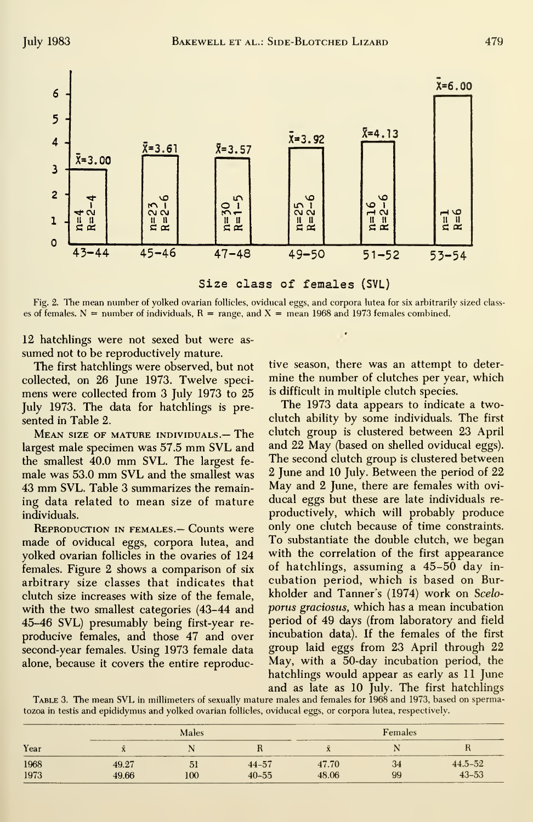

Size class of females (SVL)

Fig. 2. The mean number of yolked ovarian follicles, oviducal eggs, and corpora lutea for six arbitrarily sized classes of females. N = number of individuals, R = range, and X = mean 1968 and 1973 females combined.

12 hatchlings were not sexed but were assumed not to be reproductively mature.

The first hatchlings were observed, but not collected, on 26 June 1973. Twelve specimens were collected from 3 July 1973 to 25 July 1973. The data for hatchlings is presented in Table 2.

MEAN SIZE OF MATURE INDIVIDUALS.- The largest male specimen was 57.5 mm SVL and the smallest 40.0 mm SVL. The largest female was 53.0 mm SVL and the smallest was 43 mm SVL. Table 3 summarizes the remaining data related to mean size of mature individuals.

**REPRODUCTION IN FEMALES. - Counts were** made of oviducal eggs, corpora lutea, and yolked ovarian follicles in the ovaries of 124 females. Figure 2 shows a comparison of six arbitrary size classes that indicates that clutch size increases with size of the female, with the two smallest categories (43-44 and 45-46 SVL) presumably being first-year reproducive females, and those 47 and over second-year females. Using 1973 female data alone, because it covers the entire reproductive season, there was an attempt to determine the number of clutches per year, which is difficult in multiple clutch species.

 $\epsilon$ 

The 1973 data appears to indicate a twoclutch ability by some individuals. The first clutch group is clustered between 23 April and 22 May (based on shelled oviducal eggs). The second clutch group is clustered between 2 June and 10 July. Between the period of 22 May and 2 June, there are females with oviducal eggs but these are late individuals reproductively, which will probably produce only one clutch because of time constraints. To substantiate the double clutch, we began with the correlation of the first appearance of hatchlings, assuming a 45-50 day incubation period, which is based on Burkholder and Tanner's (1974) work on Sceloporus graciosus, which has a mean incubation period of 49 days (from laboratory and field incubation data). If the females of the first group laid eggs from 23 April through 22 May, with a 50-day incubation period, the hatchlings would appear as early as 11 June and as late as 10 July. The first hatchlings

TABLE 3. The mean SVL in millimeters of sexually mature males and females for 1968 and 1973, based on spermatozoa in testis and epididymus and yolked ovarian follicles, oviducal eggs, or corpora lutea, respectively.

| Year | _______<br>Males<br>_____ |     |                                                 | ----<br>Females |                              |                                                                                                                                              |
|------|---------------------------|-----|-------------------------------------------------|-----------------|------------------------------|----------------------------------------------------------------------------------------------------------------------------------------------|
|      |                           |     | the contract of the contract of the contract of |                 | <b>CONTRACTOR</b><br>_______ |                                                                                                                                              |
| 1968 | 49.27                     | 51  | $44 - 57$                                       | 47.70           | 34                           | $44.5 - 52$                                                                                                                                  |
| 1973 | 49.66                     | 100 | $40 - 55$                                       | 48.06           | 99                           | $43 - 53$<br>$\mathcal{L}^{\text{max}}_{\text{max}}$ and $\mathcal{L}^{\text{max}}_{\text{max}}$ and $\mathcal{L}^{\text{max}}_{\text{max}}$ |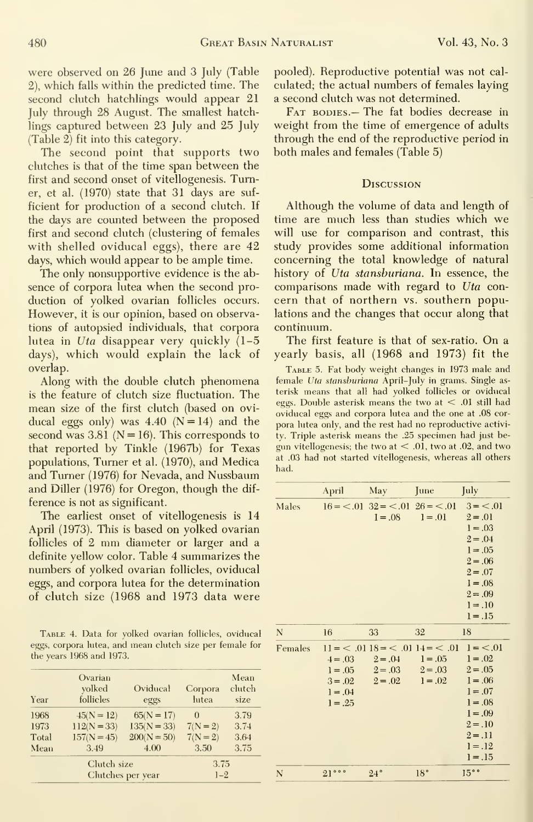were observed on 26 June and 3 July (Table 2), which falls within the predicted time. The second clutch hatchlings would appear 21 July through 28 August. The smallest hatchlings captured between 23 July and 25 July (Table 2) fit into this category.

The second point that supports two clutches is that of the time span between the first and second onset of vitellogenesis. Turner, et al. (1970) state that 31 days are suf ficient for production of a second clutch. If the days are counted between the proposed first and second clutch (clustering of females with shelled oviducal eggs), there are 42 days, which would appear to be ample time.

The only nonsupportive evidence is the ab sence of corpora lutea when the second pro duction of yolked ovarian follicles occurs. However, it is our opinion, based on observations of autopsied individuals, that corpora lutea in Uta disappear very quickly  $(1-5)$ days), which would explain the lack of overlap.

Along with the double clutch phenomena is the feature of clutch size fluctuation. The mean size of the first clutch (based on ovi ducal eggs only) was  $4.40$  (N = 14) and the second was  $3.81$  (N = 16). This corresponds to that reported by Tinkle (1967b) for Texas populations, Turner et al. (1970), and Medica and Turner (1976) for Nevada, and Nussbaum and Diller (1976) for Oregon, though the dif ference is not as significant.

The earliest onset of vitellogenesis is 14 April (1973). This is based on yolked ovarian follicles of <sup>2</sup> mm diameter or larger and <sup>a</sup> definite yellow color. Table 4 summarizes the numbers of yolked ovarian follicles, oviducal eggs, and corpora lutea for the determination of clutch size (1968 and 1973 data were

Table 4. Data for yolked ovarian follicles, oviducal eggs, corpora lutea, and mean clutch size per female for the years 1968 and 1973.

| Mean                  | 3.49                                           | 4.00                                           | 3.50                                 | 3.75                   |
|-----------------------|------------------------------------------------|------------------------------------------------|--------------------------------------|------------------------|
| 1968<br>1973<br>Total | $45(N = 12)$<br>$112(N = 33)$<br>$157(N = 45)$ | $65(N = 17)$<br>$135(N = 33)$<br>$200(N = 50)$ | $\theta$<br>$7(N = 2)$<br>$7(N = 2)$ | 3.79<br>3.74<br>3.64   |
| Year                  | Ovarian<br>yolked<br>follicles                 | Oviducal<br>eggs                               | Corpora<br>lutea                     | Mean<br>clutch<br>size |

pooled). Reproductive potential was not cal culated; the actual numbers of females laying a second clutch was not determined.

Fat bodies.— The fat bodies decrease in weight from the time of emergence of adults through the end of the reproductive period in both males and females (Table 5)

#### **Discussion**

Although the volume of data and length of time are much less than studies which we will use for comparison and contrast, this study provides some additional information concerning the total knowledge of natural history of Uta stansburiana. In essence, the comparisons made with regard to Uta con cern that of northern vs. southern populations and the changes that occur along that continuum.

The first feature is that of sex-ratio. On <sup>a</sup> yearly basis, all (1968 and 1973) fit the

Table 5. Fat body weight changes in 1973 male and female Uta stansburiana April-July in grams. Single as terisk means that all had yolked follicles or oviducal eggs. Double asterisk means the two at  $< .01$  still had oviducal eggs and corpora lutea and the one at .08 cor pora lutea only, and the rest had no reproductive activity. Triple asterisk means the .25 specimen had just begun vitellogenesis; the two at  $< .01$ , two at .02, and two at .03 had not started vitellogenesis, whereas all others had.

|         | April               | May                           | June                                                                                                                                                                                                                                                       | July       |
|---------|---------------------|-------------------------------|------------------------------------------------------------------------------------------------------------------------------------------------------------------------------------------------------------------------------------------------------------|------------|
| Males   |                     |                               | $16 = 0.01$ $32 = 0.01$ $26 = 0.01$ $3 = 0.01$                                                                                                                                                                                                             |            |
|         |                     | $1 = .08$                     | $1 = .01$                                                                                                                                                                                                                                                  | $2 = .01$  |
|         |                     |                               |                                                                                                                                                                                                                                                            | $1 = .03$  |
|         |                     |                               |                                                                                                                                                                                                                                                            | $2 = .04$  |
|         |                     |                               |                                                                                                                                                                                                                                                            | $1 = .05$  |
|         |                     |                               |                                                                                                                                                                                                                                                            | $2 = 0.06$ |
|         |                     |                               |                                                                                                                                                                                                                                                            | $2 = .07$  |
|         |                     |                               |                                                                                                                                                                                                                                                            | $1 = .08$  |
|         |                     |                               |                                                                                                                                                                                                                                                            | $2 = .09$  |
|         |                     |                               |                                                                                                                                                                                                                                                            | $1 = .10$  |
|         |                     |                               |                                                                                                                                                                                                                                                            | $1 = .15$  |
| N       | 16                  | 33                            | 32                                                                                                                                                                                                                                                         | 18         |
| Females |                     |                               | $11 = 5.0118 = 5.0114 = 5.0111 = 5.0111 = 5.0111 = 5.0111 = 5.0111 = 5.0111 = 5.0111 = 5.0111 = 5.0111 = 5.0111 = 5.0111 = 5.0111 = 5.0111 = 5.0111 = 5.0111 = 5.0111 = 5.0111 = 5.0111 = 5.0111 = 5.0111 = 5.0111 = 5.0111 = 5.0111 = 5.0111 = 5.0111 = $ |            |
|         |                     | $4 = .03$ $2 = .04$ $1 = .05$ |                                                                                                                                                                                                                                                            | $1 = .02$  |
|         |                     |                               | $1=.05$ $2=.03$ $2=.03$ $2=.05$                                                                                                                                                                                                                            |            |
|         | $3 = .02$ $2 = .02$ |                               | $1 = .02$                                                                                                                                                                                                                                                  | $1 = .06$  |
|         | $1 = .04$           |                               |                                                                                                                                                                                                                                                            | $1 = .07$  |
|         | $1 = .25$           |                               |                                                                                                                                                                                                                                                            | $1 = .08$  |
|         |                     |                               |                                                                                                                                                                                                                                                            |            |
|         |                     |                               |                                                                                                                                                                                                                                                            | $1 = .09$  |
|         |                     |                               |                                                                                                                                                                                                                                                            | $2 = .10$  |
|         |                     |                               |                                                                                                                                                                                                                                                            | $2 = .11$  |
|         |                     |                               |                                                                                                                                                                                                                                                            | $1 = .12$  |
|         |                     |                               |                                                                                                                                                                                                                                                            | $1 = .15$  |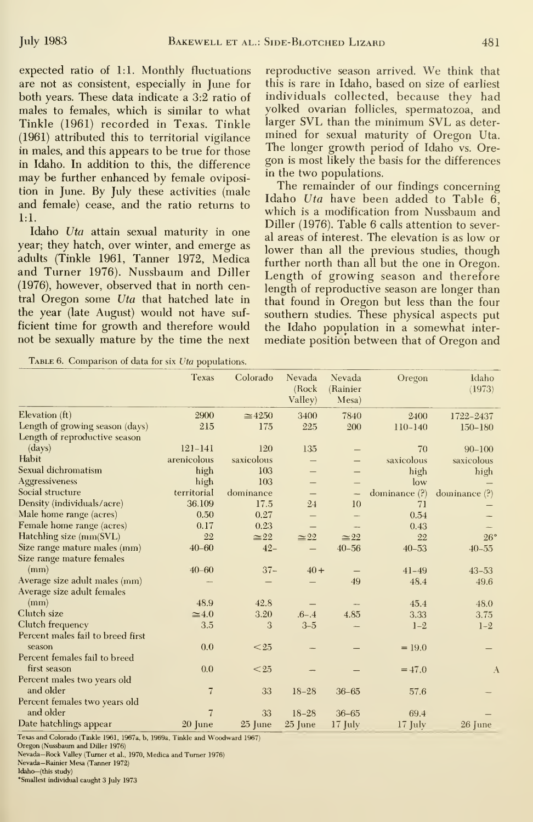expected ratio of 1:1. Monthly fluctuations are not as consistent, especially in June for both years. These data indicate a 3:2 ratio of males to females, which is similar to what Tinkle (1961) recorded in Texas. Tinkle (1961) attributed this to territorial vigilance in males, and this appears to be true for those in Idaho. In addition to this, the difference may be further enhanced by female oviposition in June. By July these activities (male and female) cease, and the ratio returns to 1:1.

Idaho Uta attain sexual maturity in one year; they hatch, over winter, and emerge as adults (Tinkle 1961, Tanner 1972, Medica and Turner 1976). Nussbaum and Diller (1976), however, observed that in north central Oregon some Uta that hatched late in the year (late August) would not have suf ficient time for growth and therefore would not be sexually mature by the time the next

Table 6. Comparison of data for six Uta populations.

reproductive season arrived. We think that this is rare in Idaho, based on size of earliest individuals collected, because they had yolked ovarian follicles, spermatozoa, and larger SVL than the minimum SVL as determined for sexual maturity of Oregon Uta. The longer growth period of Idaho vs. Oregon is most likely the basis for the differences in the two populations.

The remainder of our findings concerning Idaho Uta have been added to Table 6, which is a modification from Nussbaum and Diller (1976). Table 6 calls attention to several areas of interest. The elevation is as low or lower than all the previous studies, though further north than all but the one in Oregon. Length of growing season and therefore length of reproductive season are longer than that found in Oregon but less than the four southern studies. These physical aspects put the Idaho population in a somewhat inter mediate position between that of Oregon and

|                                          | <b>Texas</b>   | Colorado       | Nevada<br>(Rock)<br>Valley) | Nevada<br>(Rainier<br>Mesa) | Oregon            | Idaho<br>(1973) |
|------------------------------------------|----------------|----------------|-----------------------------|-----------------------------|-------------------|-----------------|
| Elevation $(ft)$                         | 2900           | $\approx 4250$ | 3400                        | 7840                        | 2400              | 1722-2437       |
| Length of growing season (days)          | 215            | 175            | 225                         | 200                         | $110 - 140$       | $150 - 180$     |
| Length of reproductive season            |                |                |                             |                             |                   |                 |
| $\langle \text{days} \rangle$            | $121 - 141$    | 120            | 135                         |                             | 70                | $90 - 100$      |
| Habit                                    | arenicolous    | saxicolous     |                             |                             | saxicolous        | saxicolous      |
| Sexual dichromatism                      | high           | 103            |                             |                             | high              | high            |
| <b>Aggressiveness</b>                    | high           | 103            |                             |                             | low               |                 |
| Social structure                         | territorial    | dominance      |                             | $\overline{\phantom{0}}$    | dominance $(?)$   | dominance $(?)$ |
| Density (individuals/acre)               | 36.109         | 17.5           | 24                          | 10                          | 71                |                 |
| Male home range (acres)                  | 0.50           | 0.27           | $\overline{\phantom{0}}$    |                             | 0.54              |                 |
| Female home range (acres)                | 0.17           | 0.23           | $\overline{\phantom{0}}$    |                             | 0.43              |                 |
| Hatchling size (mm(SVL)                  | 22             | $\approx 22$   | $\simeq 22$                 | $\approx 22$                | 22                | 26°             |
| Size range mature males (mm)             | $40 - 60$      | $42 -$         | $\overline{\phantom{0}}$    | $40 - 56$                   | $40 - 53$         | $40 - 55$       |
| Size range mature females                |                |                |                             |                             |                   |                 |
| (mm)                                     | $40 - 60$      | $37 -$         | $40 +$                      |                             | $41 - 49$         | $43 - 53$       |
| Average size adult males (mm)            |                |                |                             | 49                          | 48.4              | 49.6            |
| Average size adult females               |                |                |                             |                             |                   |                 |
| (mm)                                     | 48.9           | 42.8           |                             |                             | 45.4              | 48.0            |
| Clutch size                              | $\approx 4.0$  | 3.20           | $.6 - .4$                   | 4.85                        | 3.33              | 3.75            |
| Clutch frequency                         | 3.5            | 3              | $3 - 5$                     |                             | $1 - 2$           | $1 - 2$         |
| Percent males fail to breed first        |                |                |                             |                             |                   |                 |
| season                                   | 0.0            | $25$           |                             |                             | $= 19.0$          |                 |
| Percent females fail to breed            |                |                |                             |                             |                   |                 |
| first season                             | 0.0            | < 25           |                             |                             | $=47.0$           | $\Lambda$       |
| Percent males two years old              |                |                |                             |                             |                   |                 |
| and older                                | $\overline{7}$ | 33             | $18 - 28$                   | $36 - 65$                   | 57.6              |                 |
| Percent females two years old            |                |                |                             |                             |                   |                 |
| and older                                | $\overline{7}$ | 33             | $18 - 28$                   | $36 - 65$                   | 69.4              |                 |
| Date hatchlings appear                   | $20$ June      | 25 June        | 25 June                     | $17$ July                   | $17 \text{ July}$ | $26$ June       |
| $101 - 1$ $(m + 11 - 102)$ $(m + 1 - 1)$ |                |                |                             |                             |                   |                 |

exas and Colorado (Tinkle 1961, 1967a, b, 1969a, Tinkle and Woodward 1967).

Oregon (Nussbaum and Diller 1976)

Nevada-Rock Valley (Turner et al., 1970, Medica and Turner 1976)

Nevada-Rainier Mesa (Tanner 1972) Idaho-(this study)

<sup>o</sup>Smallest individual caught 3 July 1973